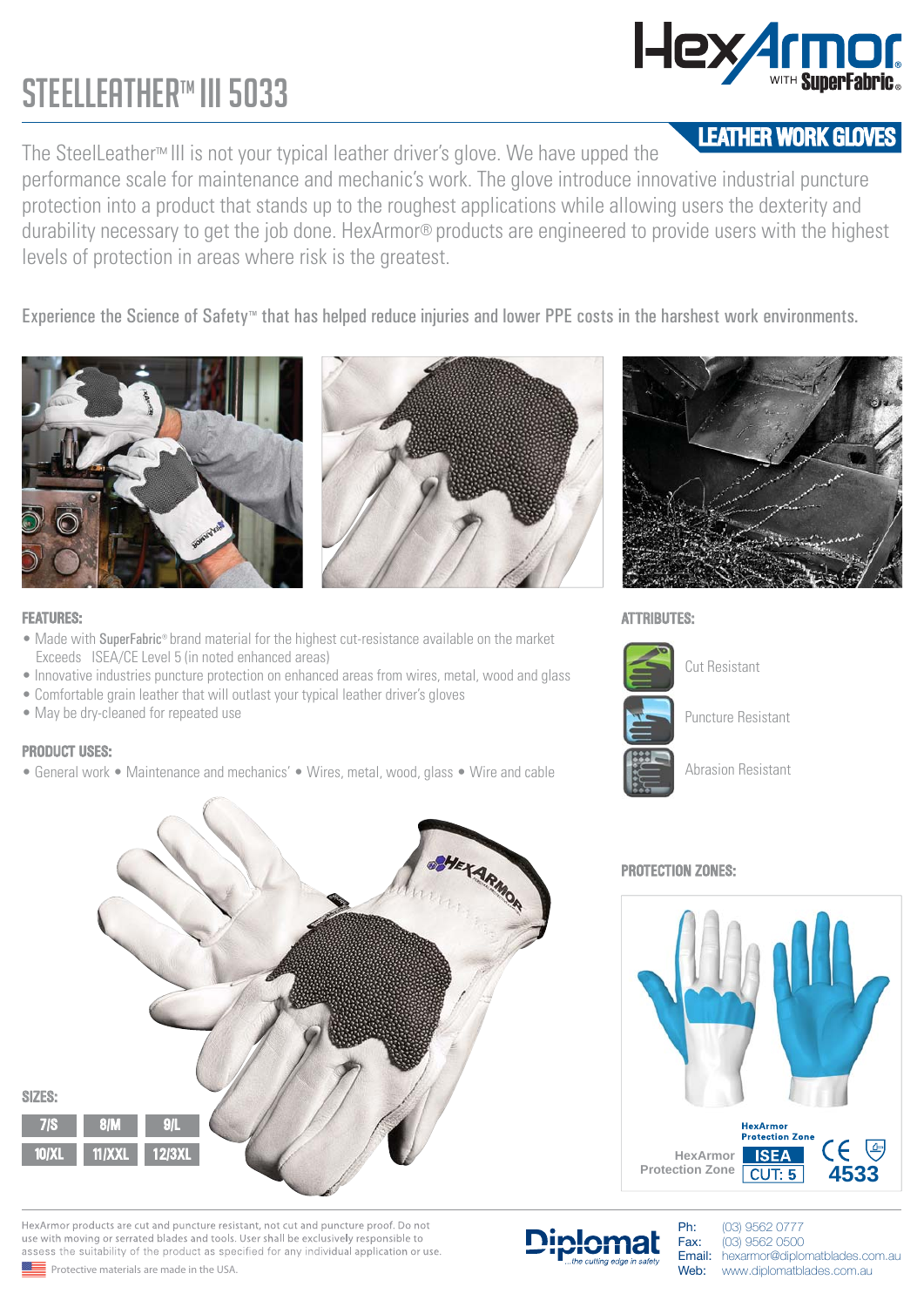## STEELLEATHER™ III 5033

Hex Armor

The SteelLeather™ III is not your typical leather driver's glove. We have upped the **LEATHER WORK GLOVES** performance scale for maintenance and mechanic's work. The glove introduce innovative industrial puncture protection into a product that stands up to the roughest applications while allowing users the dexterity and durability necessary to get the job done. HexArmor® products are engineered to provide users with the highest levels of protection in areas where risk is the greatest.

Experience the Science of Safety™ that has helped reduce injuries and lower PPE costs in the harshest work environments.





#### **FEATURES:**

- Made with SuperFabric® brand material for the highest cut-resistance available on the market Exceeds ISEA/CE Level 5 (in noted enhanced areas)
- Innovative industries puncture protection on enhanced areas from wires, metal, wood and glass
- Comfortable grain leather that will outlast your typical leather driver's gloves
- May be dry-cleaned for repeated use

### PRODUCT USES:

• General work • Maintenance and mechanics' • Wires, metal, wood, glass • Wire and cable



HexArmor products are cut and puncture resistant, not cut and puncture proof. Do not use with moving or serrated blades and tools. User shall be exclusively responsible to assess the suitability of the product as specified for any individual application or use



#### **ATTRIBUTES:**



Puncture Resistant

Cut Resistant

Abrasion Resistant

### PROTECTION ZONES:



Ph: (03) 9562 0777 Fax: (03) 9562 0500

Email: hexarmor@diplomatblades.com.au